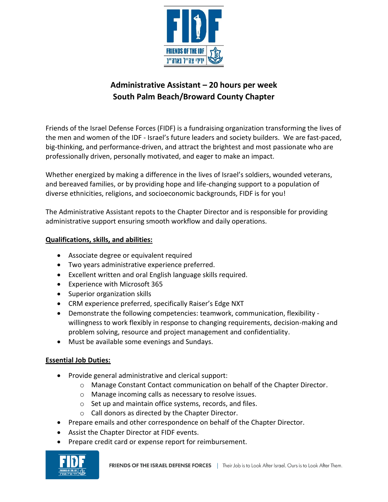

## **Administrative Assistant – 20 hours per week South Palm Beach/Broward County Chapter**

Friends of the Israel Defense Forces (FIDF) is a fundraising organization transforming the lives of the men and women of the IDF - Israel's future leaders and society builders. We are fast-paced, big-thinking, and performance-driven, and attract the brightest and most passionate who are professionally driven, personally motivated, and eager to make an impact.

Whether energized by making a difference in the lives of Israel's soldiers, wounded veterans, and bereaved families, or by providing hope and life-changing support to a population of diverse ethnicities, religions, and socioeconomic backgrounds, FIDF is for you!

The Administrative Assistant repots to the Chapter Director and is responsible for providing administrative support ensuring smooth workflow and daily operations.

## **Qualifications, skills, and abilities:**

- Associate degree or equivalent required
- Two years administrative experience preferred.
- Excellent written and oral English language skills required.
- Experience with Microsoft 365
- Superior organization skills
- CRM experience preferred, specifically Raiser's Edge NXT
- Demonstrate the following competencies: teamwork, communication, flexibility willingness to work flexibly in response to changing requirements, decision-making and problem solving, resource and project management and confidentiality.
- Must be available some evenings and Sundays.

## **Essential Job Duties:**

- Provide general administrative and clerical support:
	- o Manage Constant Contact communication on behalf of the Chapter Director.
	- o Manage incoming calls as necessary to resolve issues.
	- o Set up and maintain office systems, records, and files.
	- o Call donors as directed by the Chapter Director.
- Prepare emails and other correspondence on behalf of the Chapter Director.
- Assist the Chapter Director at FIDF events.
- Prepare credit card or expense report for reimbursement.